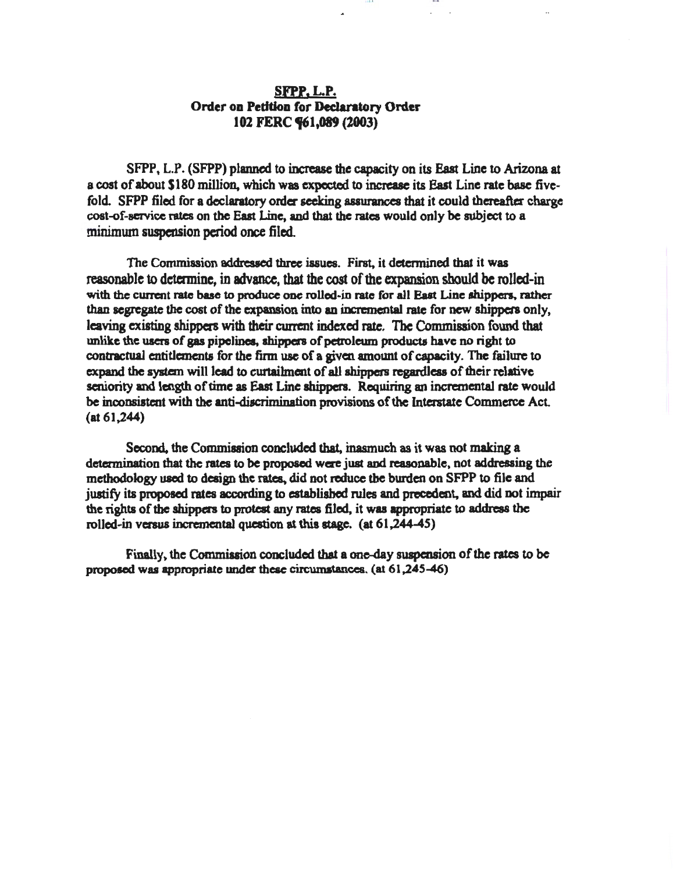# SFPP,L.P. Order on Petition for Declaratory Order 102 FERC **"**61,089 (2003)

SFPP, L.P. (SFPP) planned to increase the capacity on its East Line to Arizona at a cost of about \$180 million, which was expected to increase its East Line rate base fivefold. SFPP filed for a declaratory order seeking assurances that it could thereafter charge cost-of-service rates on the East Line, and that the rates would only be subject to a minimum suspension period once filed.

IQ I I I U

The Commission addressed three iasucs. First, it determined that it was reasonable to determine, in advance, that the cost of the expansion should be rolled-in with the current rate base to produce one rolled-in rate for all East Line shippers, rather than segregate the cost of the expansion into an incremental rate for new shippers only, leaving existing shippers with their current indexed rate. The Commission found that unlike the uacrs of gas pipelines, shippers of petroleum products have no right to contractual entitlements for the firm use of a given amount of capacity. The failure to expand the system will lead to curtaihnent of all shippers regardless of their relative seniority and length of time as East Line shippers. Requiring an incremental rate would be inconsistent with the anti-discrimination provisions of the Interstate Commerce Act. (at 61,244)

Second, the Commission concluded that, inasmuch as it was not making a determination that the rates to be proposed were just and reasonable, not addressing the methodology used to design the rates, did not reduce the burden on SFPP to file and justify its proposed rates according to established rules and precedent, and did not impair the rights of the shippers to protest any rates filed, it was appropriate to address the rollcd·in versus incremental question at this stage. (at 61,244-45)

Finally, the Commission concluded that a one-day suspension of the rates to be proposed was appropriate under these circumstances. (at  $61,245-46$ )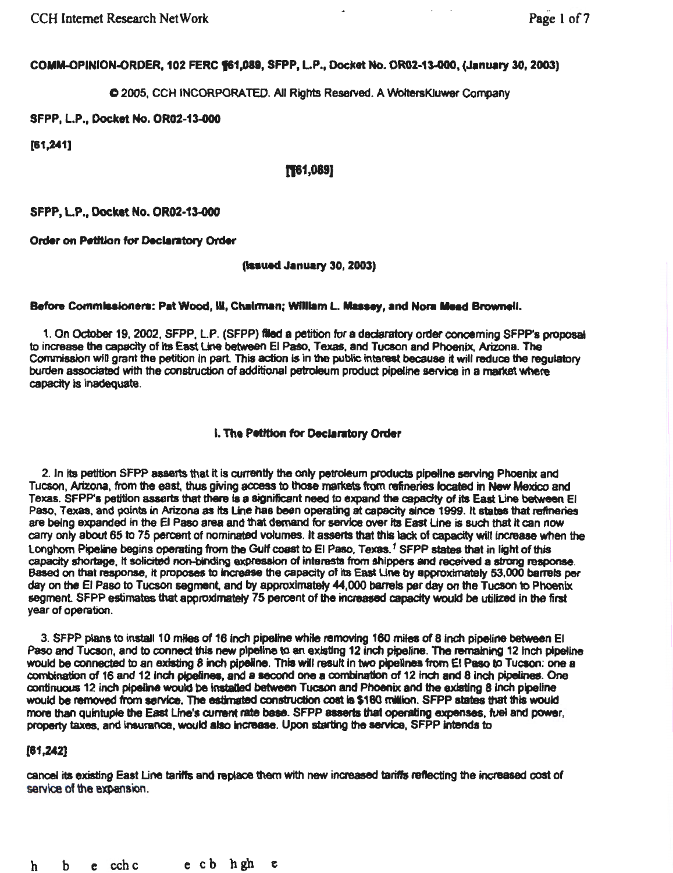## COMM-OPINION-ORDER, 102 FERC §61,089, SFPP, L.P., Docket No. OR02-13-000, (January 30, 2003)

## C 2005, CCH INCORPORATED. All Rights Reserved. A WoltersKluwer Company

## SFPP, L.P., Docket No. OR02-13-000

(81,241]

## 1'61,089]

SFPP, L.P., Docket No. OR02-13-000

Order on Petition for Declaratory Order

### (**issued January 30, 2003**)

### Before Commissioners: Pat Wood, III, Chairman; William L. Massey, and Nora Mead Brownell.

1. On October 19, 2002, SFPP, LP. (SFPP) fled a petition for a dedaratory order concerning SFPP's proposal to increase the capacity of its East Line between El Paso, Texas, and Tucson and Phoenix, Arizona. The Commission will grant the petition in part. This action is in the public interest because it will reduce the regulatory burden associated with the construction of additional petroleum product pipeline service in a market where capacity is Inadequate.

### 1. The Petition for Declaratory Order

2. In its petition SFPP asserts that it is currently the only petroleum products pipeline serving Phoenix and Tucson, Arizona, from the east, thus giving access to those markets from refineries located in New Mexico and Texas. SFPP's petition asserts that there is a significant need to expand the capacity of its East Line between El Paso, Texas, and points in Arizona as its Line has been operating at capacity since 1999. It states that refineries are being expanded in the El Paso area and that demand for service over its East Line is such that it can now carry only about 65 to 75 percent of nominated volumes. It asserts that this lack of capacity will increase when the Longhorn Pipeline begins operating from the Gulf coast to El Paso, Texas.<sup>1</sup> SFPP states that in light of this capadty shortage, It solicited non-binding expression of interests from shippers and received a strong response. Based on that response, it proposes to increase the capacity of its East Line by approximately 53,000 barrels per day on the El Paso to Tucson segment. and by approximately 44,000 barrels per day on the Tucson to Phoenix segment. SFPP estimates that approximately 75 percent of the increased capacity would be utilized in the first year of operation.

3. SFPP plans to install 10 miles of 16 inch pipeline while removing 160 miles of 8 inch pipeline between El Paso and Tucson, and to connect this new pipeline to an existing 12 inch pipeline. The remaining 12 inch pipeline would be connected to an existing 8 inch pipeline. This will result in two pipelines from El Paso to Tucson: one a combination of 16 and 12 inch pipelines, and a second one a combination of 12 inch and 8 inch pipelines. One continuous 12 inch pipeline would be installed between Tucson and Phoenix and the existing 8 inch pipeline would be removed from service. The estimated construction cost is \$180 million. SFPP states that this would more than quintuple the East Line's current rate base. SFPP asserts that operating expenses, fuel and power, property taxes, and insurance, would also increase. Upon starting the service, SFPP intends to

### [81,242]

cancel its existing East Une tariffs and replace them wtth new increased tariffs reflecting the incteased cost of service of the expansion.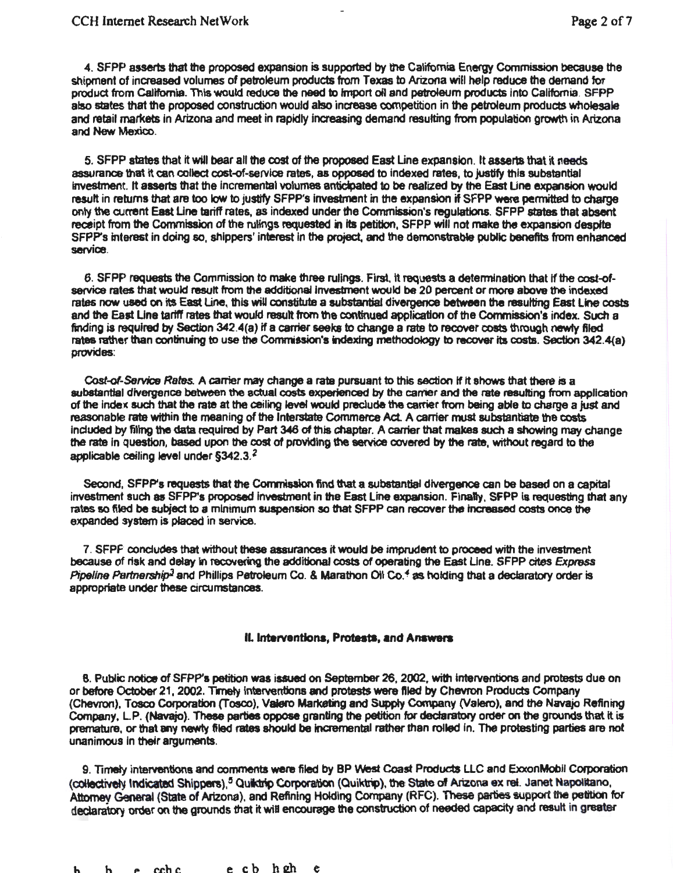4. SFPP asserts that the proposed expansion is supported by the Califomia Energy Commission because the shipment of increased volumes of petroleum products from Texas to Arizona will help reduce the demand for product from California. This would reduce the need to Import oil and petroleum products into California. SFPP also states that the proposed construction would also increase competition in the petroleum products wholesale and retail markets in Arizona and meet in rapidly increasing demand resulting from population growth in Arizona and New Mexico.

5. SFPP states that it will bear all the cost of the proposed East Line expansion. It asserts that it needs assurance that it can collect cost-of-service rates, as opposad to Indexed rates, to justify this substantial investment. It asserts that the incremental volumes anticipated to be realized by the East Line expansion would resutt in retums that are too low to justify SFPP's Investment in the expansion if SFPP were permitted to charge only the current East Une tariff rates, as indexed under the Commission's regulations. SFPP states that absent receipt from the Commission of the rulings requested in its petition, SFPP will not make the expansion despite SFPP's interest in doing so, shippers' interest in the project, and the demonstrable public benefits from enhanced<br>service. service. *Service*.

6. SFPP requests the Commission to make three rulings. First. It requests a detennination that If the cost~f service rates that would result from the additional investment would be 20 percent or more above the indexed rates now used on its East Line, this wiU constitute a substantial divergence between the resulting East Une costs and the East Une tariff rates that would resutt from the continued application of the Commission's index. Such a finding is required by Section 342.4(a) if a carrier seeks to change a rate to recover costs through newly filed rates rather than continuing to use the Commission's indexing methodology to recover Its costs. Section 342.4(a) provides:

Cost-of-Service Rates. A carrier may change a rate pursuant to this section if it shows that there is a substantial divergence between the actual costs experienced by the carrier and the rate resulting from application of the Index such that the rate at the ceiling levef would preclude the carrier from being able to charge a just and reasonable rate within the meaning of the Interstate Commerce Act. A carrier must substantiate the costs included by filing the data required by Part 346 of this chapter. A carrier that makes such a showing may change the rate In question, based upon the cost of providing the service covered by the rate, without regard to the applicable ceiling level under §342.3. *2* 

Second, SFPP's requests that the Commission find that a substantial divergence can be based on a capital investment such as SFPP's proposed Investment in the East Line expansion. Finally, SFPP 18 requesting that any rates so filed be subject to a minimum suspension so that SFPP can recover the tncreased costs once the expanded system is placed in service.

7. SFPF concludes that without these assurances it would be imprudent to proceed with the investment because of risk and delay in recovering the additional costs of operating the East Line. SFPP cites Express Pipeline Partnership<sup>3</sup> and Phillips Petroleum Co. & Marathon Oil Co.<sup>4</sup> as holding that a declaratory order is appropriate under these circumstances.

#### II. Interventions, Protests, and Answers

8. Public notice of SFPP's petition was issued on September 26, 2002, with Interventions and protests due on or before October 21, 2002. Timely interventions and protests were filed by Chevron Products Company (Chevron), Tosco Corporation (Tosco), Valero Marketing and Supply Company (Valero), and the Navajo Refining Company, L.P. (Navajo). These parties oppose granting the petition for declaratory order on the grounds that it is premature, or that any newly filed rates should be incremental rather than rolled in. The protesting parties are not unanimous in their arguments.

9. Timely interventions and comments were filed by BP West Coast Products LLC and ExxonMobil Corporation (collectively Indicated Shippers),<sup>5</sup> Quilt trip Corporation (Quiktrip), the State of Arizona ex ret. Janet Napolitano, Attorney General (State of Avizona), and Refining Holding Corripany (RFC). These parties support the petition for declaratory order on the grounds that it will encourage the construction of needed capacity and result in greater

 $h$   $h$   $e$  cchc  $e$  cb h $2h$   $e$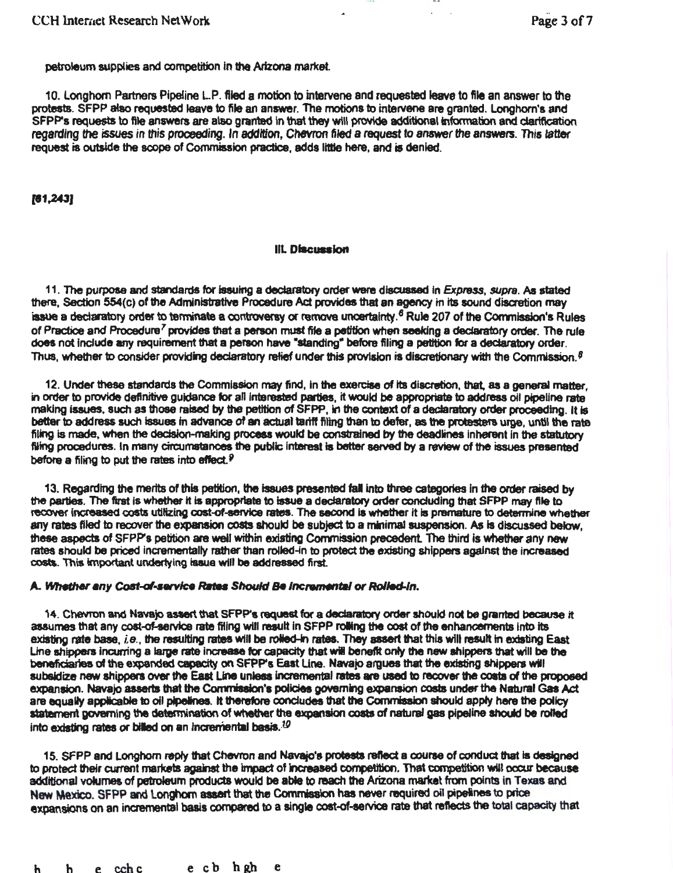...

petroleum supplies and competition in the Arizona market.

10. Longhorn Partners Pipeline LP. filed a motion to intervene and requested leave to file an answer to the protests. SFPP also requested leave to file an answer. The motions to intervene are granted. Longhorn's and SFPP's requests to file answers are also granted In that they will provide additional information and clariftcation regarding the issues in this proceeding. In addttion, Chevron filed a request to anawer the answers. This *tatter*  request is outside the scope of Commission practice, adds llttie here, and is denied.

(81,243)

### III. Discussion

11. The purpose and standards for issuing a declaratory order were discussed in Express, supra. As stated there, Section 554(c) of the Administrative Procedure Act provides that an agency in its sound discretion may issue a declaratory order to terminate a controversy or remove uncertainty.<sup>6</sup> Rule 207 of the Commission's Rules of Practice and Procedure<sup>7</sup> provides that a person must file a petition when seeking a declaratory order. The rule does not include any requirement that a person have "standing" before filing a petition for a declaratory order. Thus, whether to consider providing declaratory relief under this provision is discretionary with the Commission.<sup> $\theta$ </sup>

12. Under these standards the Commission may find, in the exercise of its discretion, that, as a general matter, in order to provide definitive guidance for all interested parties, it would be appropriate to address oil pipeline rate making issues. such as those raised by the petition of SFPP, In the context of a declaratory order proceeding. It is better to address such issues tn advance of an actual tarfff filing than to defer, as the protesters urge, until the rate filing is made, when the decision-making process would be constrained by the deadlines inherent in the statutory filing procedures. In many circumstances the public Interest is better served by a review of the issues presented before a filing to put the rates into effect. $P$ 

13. Regarding the merits of this petition, the issues presented fall into three categories in the order raised by the parties. The first is whether it is appropriate to issue a declaratory order concluding that SFPP may file to recover increased costs utilizing cost-of-service rates. The second is whether it is premature to determine whether any rates filed to recover the expansion costs should be subject to a minimal suspension. As is discussed below, these aspects of SFPP's petition are well within existing Commission precedent The third is whether any new rates should be priced incrementally rather than rolled-in to protect the existing shippers against the increased costs. This impoftant underlying Issue will be addressed first.

### A. Whether any Cost-of-service Rates Should Be Incremental or Rolled-In.

14. Chevron and Navajo assert that SFPP's request for a declaratory order should not be granted because it assumes that any cost-of-service rate filing will result in SFPP rolling the cost of the enhancements into its existing rate base,  $i.e.$ , the resulting rates will be rolled-in rates. They assert that this will result in existing East Line shippers incurring a large rate increase for capacity that will benefit only the new shippers that will be the benefidariea of the expanded capacity on SFPP's East Une. Navajo argues that the existing shippers will subaidize new shippers over the East Line unless incremental rates are used to recover the costs of the proposed expansion. Navajo asserts that the Commission's policies governing expansion costs under the Natural Gas Act are equally applicable to oil pipelines. It therefore concludes that the Commission should apply here the policy statement governing the determination of whether the expansion costs of natural gas pipeline should be rolled into existing rates or billed on an incremental basis.<sup>10</sup>

15. SFPP and Longhorn reply that Chevron and Navajo's protests reflect a course of conduct that is designed to protect their current markets against the impact of increased competition. That competition will occur because additional volumes of petroleum products would be able to reach the Arizona market from points in Texas and New Mexico. SFPP and Longhorn assert that the Commission has never required oil pipelines to price expansions on an incremental basis compared to a single cost-of-service rate that reflects the total capacity that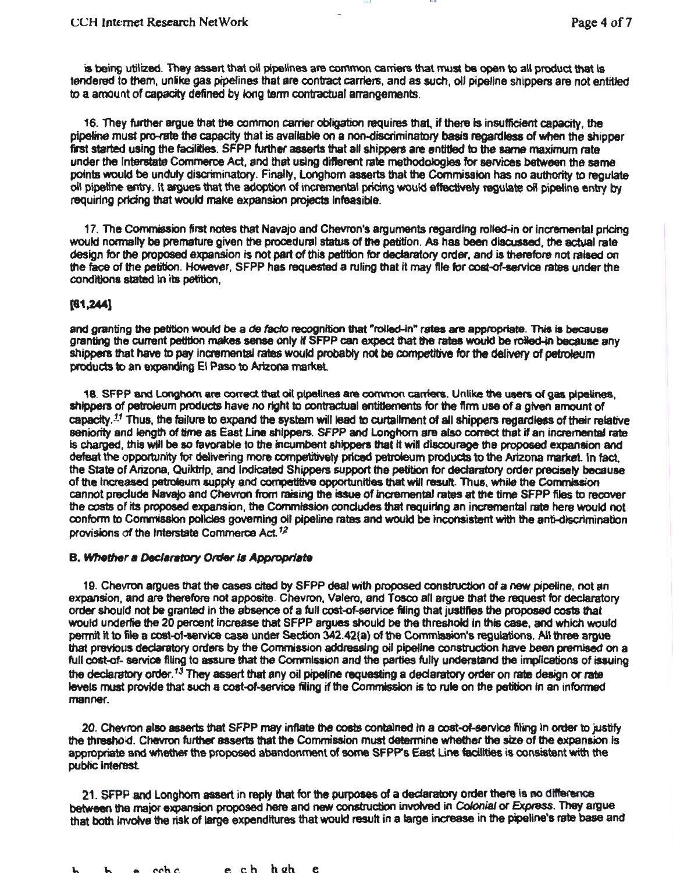is being utilized. They assert that oil pipelines are common carriers that must be open to all product that is tendered to them, unlike gas pipelines that are contract carriers, and as such, oil pipeline shippers are not entitled to a amount of capacity defined by long tenn contractual arrangements.

lU I J I Ill

16. They further argue that the common carrier obligation requires that, if there is insufficient capacity, the pipeline must pro-rate the capacity that is available on a non-discriminatory basis regardless of when the shipper first started using the facilities. SFPP further asserts that all shippers are entitled to the same maximum rate under the Interstate Commerce Act, and that using different rate methodologies for services between the same points would be unduly discriminatory. Finally, Longhorn asserts that the Commission has no authority to regulate oil pipeline entry. It argues that the adoption of incremental pricing would effectively regulate oif pipeline entry by requiring pricing that would make expansion projects Infeasible.

17. The Commission first notes that Navajo and Chevron's arguments regarding rolled-in or Incremental pricing would normally be premature given the procedural status of the petition. As has been discussed, the actual rate design for the proposed expansion Is not part of this petition for declaratory order, and is therefore not raised on the face of the petition. However. SFPP has requested a ruling that it may file for cost-of-service rates under the conditions stated in its petition,

## [81,244]

and granting the petition would be a *de facto* recognition that "rolled-in" rates are appropriate. This is because granting the current petition makes sense only if SFPP can expect that the rates would be retied-in because any shippers that have to pay Incremental rates would probably not be competitive for the delivery of petroleum products to an expanding El Paso to Arizona market

18. SFPP and Longhorn are correct that oil pipelines are common carriers. Unlike the users of gas pipelines, shippers of petroleum products have no right to contractual entitlements for the firm use of a given amount of capacity.<sup>11</sup> Thus, the failure to expand the system will lead to curtailment of all shippers regardless of their relative seniority and length of time as East Line shippers. SFPP and Longhorn are also correct that if an incremental rate is charged, this will be so favorable to the incumbent shippers that it will discourage the proposed expansion and defeat the opportunity for delivering more competitively priced petroleum products to the Arizona market. In fact. the State of Arizona, Quiktrip, and Indicated Shippers support the petition for declaratory order precisely because of the increased petroleum supply and competitive opportunities that will result. Thus, while the Commission cannot preclude Navajo and Chevron from raising the issue of incremental rates at the time SFPP files to recover the costs of its proposed expansion, the Convnlsslon concludes that requiring an incremental rate here would not conform to Commission policies governing oil pipeline rates and would be inconsistent with the anti-discrimination provisions of the Interstate Commerce Act.<sup>12</sup>

## **B. Whether a Declaratory Order is Appropriate**

19. Chevron argues that the cases cited by SFPP deal with proposed construction of a new pipeline, not an expansion, and are therefore not apposite. Chevron, Valero, and Tosco all argue that the request for declaratory order should not be granted In the absence of a full cost~f-service filing that justifies the proposed COS1s that would underlie the 20 percent Increase that SFPP argues should be the threshold In this case, and which would permit it to file a cost-of-service case under Section 342.42(a) of the Commission's regulations. All three argue that previous declaratory orders by the Commission addressing oil pipeline construction have been premised on a full cost-of- service filing to assure that the Commission and the parties fully understand the implications of issuing the declaratory order.<sup>13</sup> They assert that any oil pipeline requesting a declaratory order on rate design or rate levels must provide that such a cost-of-service filing if the Commission is to rule on the petition in an informed manner.

20. Chevron also asserts that SFPP may inflate the costs contained in a cost-of-service filing in order to justify the threshold. Chevron further asserts that the Commission must determine whether the size of the expansion Is appropriate and whether the proposed abandonment of some SFPP's East Line facilities is consistent with the public interest

21. SFPP and Longhorn assert in reply that for the purposes of a declaratory order there is no difference between the major expansion proposed here and new construction involved in Colonial or Express. They argue that both involve the risk of large expenditures that would result in a large increase in the pipeline's rate base and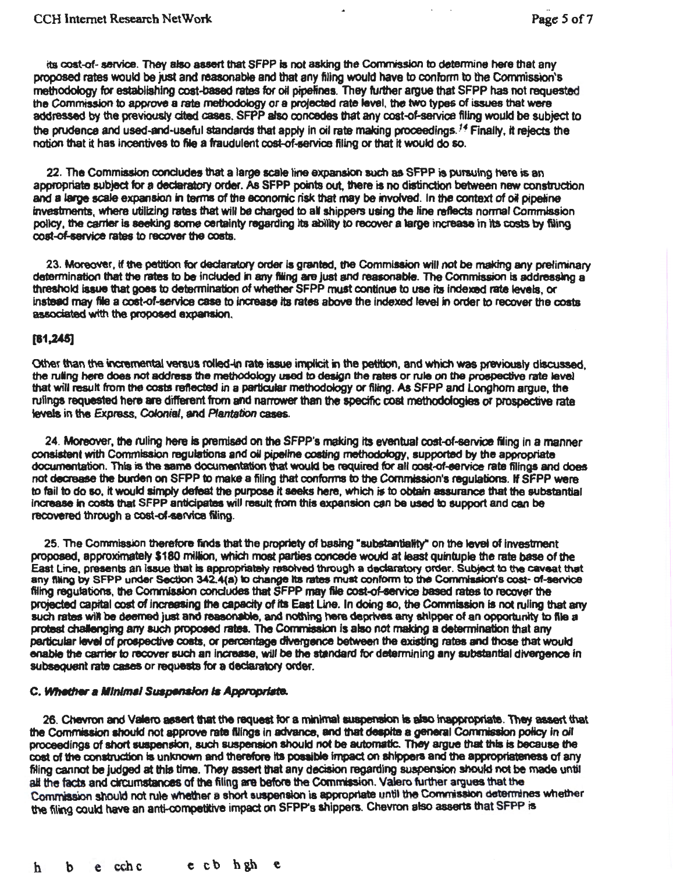its cost-of- service. They also assert that SFPP is not asking the Commission to determine here that any proposed rates would be just and reasonable and that any filing would have to conform to the Commission's methodology for establishing cost-based rates far oit pipelines. They further argue that SFPP has not requested the Comrnissbn to approve a rate methodology or a projectad rate level, the two types of issues that were addressed by the previously cited cases. SFPP also ooncedes that any cost-of-service filing would be subject to the prudence and used-and-useful standards that apply in oil rate making proceedings.<sup>14</sup> Finally, it rejects the notion that it has Incentives to file a fraudulent cost-of-service filing or that It would do so.

22. The Commission concludes that a large scale line expansion such as SFPP ts pursuing here js an appropliate subject for a dedaratory order. As SFPP points out. there is no distinction between new construction and a large scale expansion in terms of the economic risk that may be involved. In the context of oil pipeline investments, where utilizing rates that will be charged to all shippers using the line reflects normal Commission policy, the carrier is seeking some certainty regarding its ability to recover a large increase in its costs by filing cost-of-service rates to recover the costs.

23. Moreover, if the petition for declaratory order is granted, the Commission will not be making any preliminary determination that the rates to be included in any filing are just and reasonable. The Commission is addressing a threshold issue that goes to determination of whether SFPP must continue to use its indexed rate levels, or instead may file a cost-of-service case to increase its rates above the indexed level in order to recover the costs associated with the proposed expansion.

### $[61.245]$

Other than the incremental versus rolled-in rate issue implicit in the petition, and which was previously discussed, the ruling here does not address the methodology used to design the rates or rule on the prospective rate level that will result from the costs reflected in a particular methodology or filing. As SFPP and Longhorn argue, the rulings requested here are different from and narrower than the specific cost methodologies or prospective rate levels in the *Express,* Colonial, and Plantation cases.

24. Moreover, the ruling here is premised on the SFPP's making its eventual cost-of-service filing in a manner consistent with Commission regulations and oil pipeline costing methodology, supported by the appropriate documentation. This is the same documentation that would be required for all ooet-ot-eervice rate filings and does not decrease the burden on SFPP to make a filing that conforms to the Commission's regulations. If SFPP were to fail to do so, it would simply defeat the purpose it seeks here, which is to obtain assurance that the substantial increase in costs that SFPP anticipates will result from this expansion can be used to support and can be recovered through a cost-of-service filing.

25. The Commission therefore finds that the propriety of basing "substantiality" on the level of investment proposed, approximately \$180 million, which moat parties concede would at least quintuple the rate base of the East line, presents an lsaue that is appropriately resolved through a dedaratory order. Subject to the caveat that any filing by SFPP under Section 342.4(a) to change its rates must conform to the Commission's cost- of-service filing regulations, the Cornmission concludes that SFPP may file cost-of-service based rates to recover the projected capital cost of increasing the capacity of its East Line. In doing so, the Commission is not ruling that any such rates will be deemed just and reasonable, and nothing here deprives any shipper of an opportunity to file a protest challenging any such propoeed rates. The Commisaion fs also not making a determination that any particular level of prospective costs, or percentage divergence between the existing rates and those that would enable the carrier to recover such an increase, will be the standard for determining any substantial divergence in subsequent rate cases or requests for a declaratory order.

### C. Whether a Minimal Suspension is Appropriate.

26. Chevron and Valero assert that the request for a minimal suspension is also inappropriate. They assert that the Commission should not approve rate filings in advance, and that despite a general Commission policy in oil proceedings of short suspension, such suspension should not be automatic. They argue that this is because the cost of the construction is unknown and therefore its possible impact on shippers and the appropriateness of any filing cannot be judged at this time. They assert that any decision regarding suspension should not be made until all the facts and dircumstances of the filing are before the Commission. Valero further argues that the Commission should not rule whether a short suspension is appropriate until the Commission determines whether the filing could have an anti-competitive impact on SFPP's shippers. Chevron also asserts that SFPP is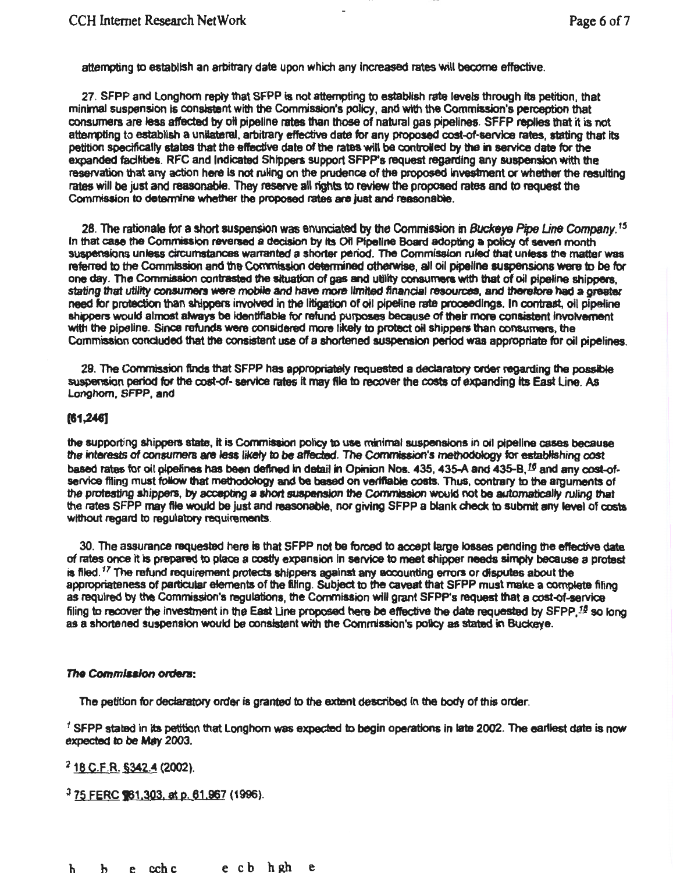attempting to establish an arbttrary date upon which any Increased rates Will become effective.

27. SFPP and Longhorn reply that SFPP is not attempting to establish rate levels through its petition, that minimal suspension is consistent with the Commission's policy, and with the Commission's perception that consumers are less atrected by olt pipeline rates than those of natural gas pipelines. SFFP replies that it is not attempting to establish a unilateral, arbitrary effective date for any proposed cost-of-service rates, stating that its petition specifically states that the effective date of the rates will be controlled by the in service date for the expanded facilities. RFC and Indicated Shippers support SFPP's request regarding any suspension with the reservation that any action here is not ruling on the prudence of the proposed investment or whether the resulting rates will be just and reasonable. They reserve all rights to review the proposed rates and to request the Commission to determine whether the proposed rates are just and reasonable.

28. The rationale for a short suspension was enunciated by the Commission in Buckeye Pipe Line Company.<sup>15</sup> In that case the Commission reversed a decision by its Ofl Pipeline Board adopting a policy of seven month suspensions unless circumstances warranted a shorter period. The Commlsalon ruled that unless the matter was referred to the Commission and the Commission determined otherwise, all oil pipeline suspensions were to be for one day. The Commisaion contrasted the situation of gas and utility consumers with that of oil pipeline shippers, stating that utility consumers were mobile and have more limited financial resources, and therefore had a greater need for protection than shippers involved in the litigation of oil pipeline rate proceedings. In contrast, oil pipeline shippers would almost always be Identifiable for refund purposes because of their more consistent Involvement with the pipeline. Since refunds were considered more likely to protect oil shippers than consumers, the Commission concluded that the consistent use of a shortened suspension period was appropriate fer oil pipelines.

29. The Commission finds that SFPP has appropriately requested a declaratory order regarding the possible suspension period for the cost-of- service rates it may file to recover the costs of expanding its East Line. As Longhorn, SFPP, and

## (11,246)

the supporting shippers state, it is Cornmission policy to use minimal suspensions in oil pipeline cases because the interests of consumers are less likely to be affected. The Commission's methodology for establishing cost based rates for oil pipelines has been defined in detail in Opinion Nos. 435, 435-A and 435-B,  $^{16}$  and any cost-ofservice filing must follow that methodology and be based on verifiable costs. Thus, contrary to the arguments of the protesting shippers, by accepting a short suspension the Commission would not be automatically ruling that the rates SFPP may file would be just and reasonable, nor giving SFPP a blank check to submit any level of costs Without regard to regulatory requirements.

30. The assurance requested here is that SFPP not be forced to accept large losses pending the effective date of rates once it is prepared to place a costly expansion in service to meet shipper needs simply because a protest is filed.<sup>17</sup> The refund requirement protects shippers against any accounting errors or disputes about the appropriateness of particular elements of the filing. Subject to the caveat that SFPP must make a complete filing as required by the Commission's regulations, the Commission will grant SFPP's request that a cost-of-service filing to recover the investment in the East Line proposed here be effective the date requested by SFPP.<sup>18</sup> so long as a shortened suspension would be consistent with the Commission's policy as stated in Buckeye.

#### The Commission orders:

The petition for declaratory order is granted to the extent described in the body of this order.

<sup>1</sup> SFPP stated in its petition that Longhorn was expected to begin operations in late 2002. The earliest date is now expected to be May 2003.

< 18 C.E.R. §342.4 (2002).

 $375$  FERC  $961,303$ , at p. 61,967 (1996).

h b e cch c e cb hgh e